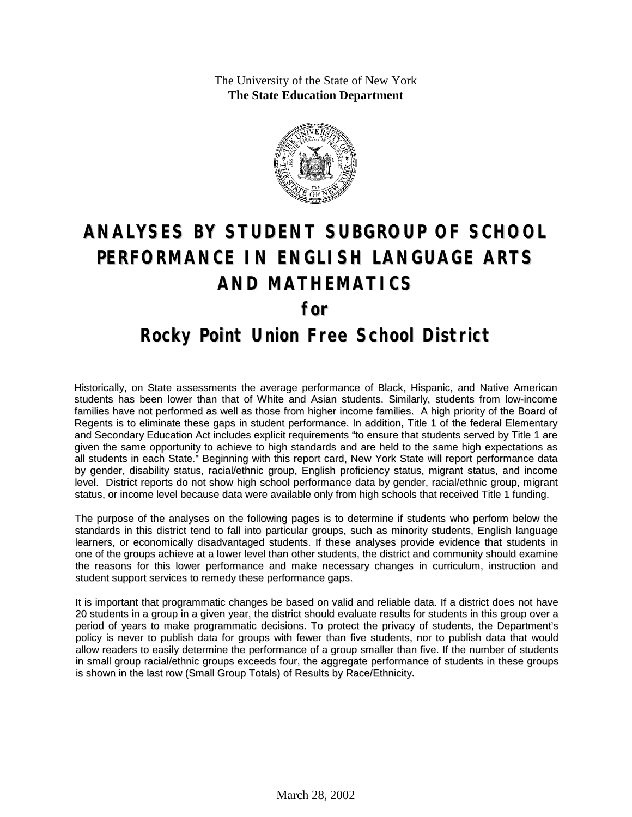The University of the State of New York **The State Education Department**



# **ANALYSES BY STUDENT SUBGROUP OF SCHOOL PERFORMANCE IN ENGLISH LANGUAGE ARTS AND MATHEMATICS for Rocky Point Union Free School District**

Historically, on State assessments the average performance of Black, Hispanic, and Native American students has been lower than that of White and Asian students. Similarly, students from low-income families have not performed as well as those from higher income families. A high priority of the Board of Regents is to eliminate these gaps in student performance. In addition, Title 1 of the federal Elementary and Secondary Education Act includes explicit requirements "to ensure that students served by Title 1 are given the same opportunity to achieve to high standards and are held to the same high expectations as all students in each State." Beginning with this report card, New York State will report performance data by gender, disability status, racial/ethnic group, English proficiency status, migrant status, and income level. District reports do not show high school performance data by gender, racial/ethnic group, migrant status, or income level because data were available only from high schools that received Title 1 funding.

The purpose of the analyses on the following pages is to determine if students who perform below the standards in this district tend to fall into particular groups, such as minority students, English language learners, or economically disadvantaged students. If these analyses provide evidence that students in one of the groups achieve at a lower level than other students, the district and community should examine the reasons for this lower performance and make necessary changes in curriculum, instruction and student support services to remedy these performance gaps.

It is important that programmatic changes be based on valid and reliable data. If a district does not have 20 students in a group in a given year, the district should evaluate results for students in this group over a period of years to make programmatic decisions. To protect the privacy of students, the Department's policy is never to publish data for groups with fewer than five students, nor to publish data that would allow readers to easily determine the performance of a group smaller than five. If the number of students in small group racial/ethnic groups exceeds four, the aggregate performance of students in these groups is shown in the last row (Small Group Totals) of Results by Race/Ethnicity.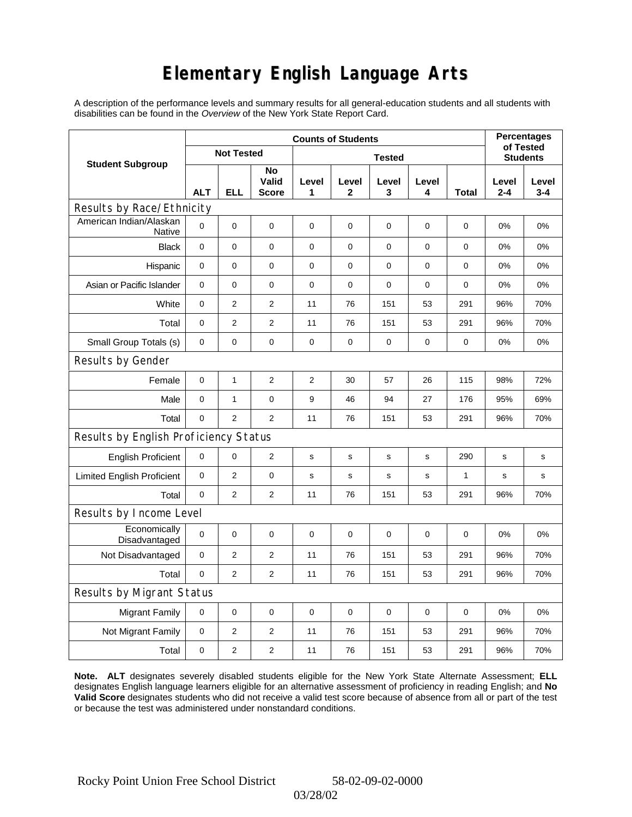# **Elementary English Language Arts**

A description of the performance levels and summary results for all general-education students and all students with disabilities can be found in the *Overview* of the New York State Report Card.

|                                          | <b>Counts of Students</b> |                   |                             |                |                       |                 |             |              |                  | <b>Percentages</b><br>of Tested |  |
|------------------------------------------|---------------------------|-------------------|-----------------------------|----------------|-----------------------|-----------------|-------------|--------------|------------------|---------------------------------|--|
| <b>Student Subgroup</b>                  |                           | <b>Not Tested</b> |                             |                |                       | <b>Students</b> |             |              |                  |                                 |  |
|                                          | <b>ALT</b>                | <b>ELL</b>        | No<br>Valid<br><b>Score</b> | Level<br>1     | Level<br>$\mathbf{2}$ | Level<br>3      | Level<br>4  | Total        | Level<br>$2 - 4$ | Level<br>$3 - 4$                |  |
| Results by Race/Ethnicity                |                           |                   |                             |                |                       |                 |             |              |                  |                                 |  |
| American Indian/Alaskan<br><b>Native</b> | $\mathbf 0$               | 0                 | 0                           | 0              | 0                     | 0               | 0           | 0            | 0%               | 0%                              |  |
| <b>Black</b>                             | $\mathbf 0$               | 0                 | $\mathbf 0$                 | $\mathbf 0$    | 0                     | $\mathbf 0$     | $\pmb{0}$   | 0            | 0%               | 0%                              |  |
| Hispanic                                 | $\mathbf 0$               | 0                 | $\mathbf 0$                 | $\pmb{0}$      | 0                     | $\mathbf 0$     | 0           | 0            | 0%               | 0%                              |  |
| Asian or Pacific Islander                | 0                         | 0                 | 0                           | 0              | 0                     | 0               | 0           | 0            | 0%               | 0%                              |  |
| White                                    | $\mathbf 0$               | $\overline{2}$    | $\overline{c}$              | 11             | 76                    | 151             | 53          | 291          | 96%              | 70%                             |  |
| Total                                    | $\mathbf 0$               | $\overline{2}$    | $\overline{2}$              | 11             | 76                    | 151             | 53          | 291          | 96%              | 70%                             |  |
| Small Group Totals (s)                   | 0                         | 0                 | 0                           | 0              | 0                     | $\mathbf 0$     | 0           | 0            | 0%               | 0%                              |  |
| Results by Gender                        |                           |                   |                             |                |                       |                 |             |              |                  |                                 |  |
| Female                                   | $\mathbf 0$               | 1                 | $\overline{2}$              | $\overline{2}$ | 30                    | 57              | 26          | 115          | 98%              | 72%                             |  |
| Male                                     | $\mathbf 0$               | $\mathbf{1}$      | $\pmb{0}$                   | 9              | 46                    | 94              | 27          | 176          | 95%              | 69%                             |  |
| Total                                    | $\mathbf 0$               | $\overline{2}$    | 2                           | 11             | 76                    | 151             | 53          | 291          | 96%              | 70%                             |  |
| Results by English Proficiency Status    |                           |                   |                             |                |                       |                 |             |              |                  |                                 |  |
| <b>English Proficient</b>                | $\mathbf 0$               | 0                 | $\overline{2}$              | $\mathbf s$    | $\mathbf s$           | ${\bf s}$       | s           | 290          | $\mathbf s$      | $\mathbf s$                     |  |
| <b>Limited English Proficient</b>        | $\mathbf 0$               | 2                 | $\pmb{0}$                   | s              | $\mathbf s$           | s               | $\mathbf s$ | $\mathbf{1}$ | $\mathbf s$      | s                               |  |
| Total                                    | $\mathbf 0$               | $\overline{2}$    | $\mathbf{2}$                | 11             | 76                    | 151             | 53          | 291          | 96%              | 70%                             |  |
| Results by Income Level                  |                           |                   |                             |                |                       |                 |             |              |                  |                                 |  |
| Economically<br>Disadvantaged            | $\mathbf 0$               | 0                 | $\mathbf 0$                 | $\pmb{0}$      | $\mathbf 0$           | 0               | 0           | 0            | 0%               | 0%                              |  |
| Not Disadvantaged                        | 0                         | $\overline{2}$    | $\overline{2}$              | 11             | 76                    | 151             | 53          | 291          | 96%              | 70%                             |  |
| Total                                    | $\mathbf 0$               | $\overline{2}$    | 2                           | 11             | 76                    | 151             | 53          | 291          | 96%              | 70%                             |  |
| <b>Results by Migrant Status</b>         |                           |                   |                             |                |                       |                 |             |              |                  |                                 |  |
| <b>Migrant Family</b>                    | 0                         | 0                 | $\mathbf 0$                 | $\mathbf 0$    | $\mathbf 0$           | $\mathbf 0$     | $\mathbf 0$ | $\mathbf 0$  | 0%               | 0%                              |  |
| Not Migrant Family                       | $\mathbf 0$               | $\overline{2}$    | $\mathbf{2}$                | 11             | 76                    | 151             | 53          | 291          | 96%              | 70%                             |  |
| Total                                    | $\mathbf 0$               | 2                 | $\overline{2}$              | 11             | 76                    | 151             | 53          | 291          | 96%              | 70%                             |  |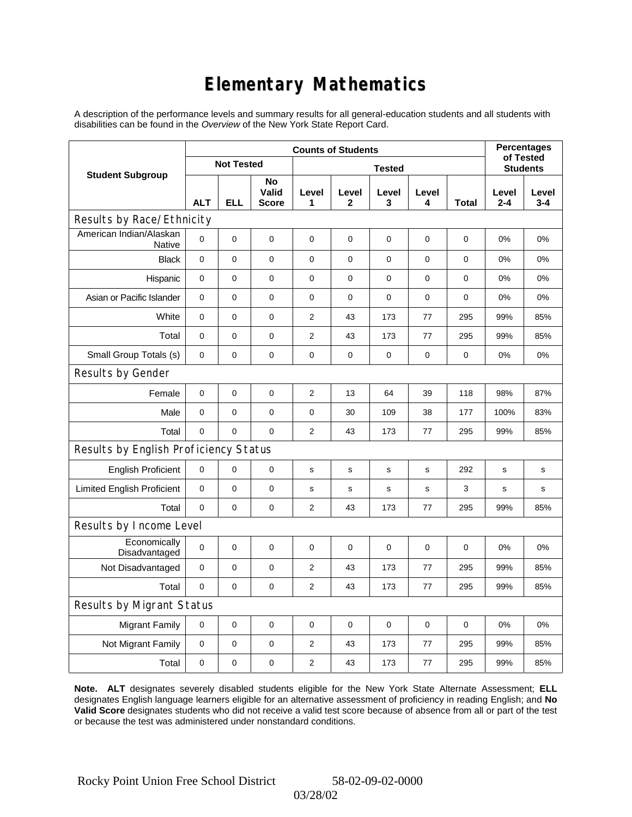# **Elementary Mathematics**

A description of the performance levels and summary results for all general-education students and all students with disabilities can be found in the *Overview* of the New York State Report Card.

|                                          | <b>Counts of Students</b> |                |                             |                |                       |             |             |              | <b>Percentages</b><br>of Tested |                  |
|------------------------------------------|---------------------------|----------------|-----------------------------|----------------|-----------------------|-------------|-------------|--------------|---------------------------------|------------------|
| <b>Student Subgroup</b>                  | <b>Not Tested</b>         |                |                             |                | <b>Students</b>       |             |             |              |                                 |                  |
|                                          | <b>ALT</b>                | <b>ELL</b>     | No<br>Valid<br><b>Score</b> | Level<br>1     | Level<br>$\mathbf{2}$ | Level<br>3  | Level<br>4  | <b>Total</b> | Level<br>$2 - 4$                | Level<br>$3 - 4$ |
| Results by Race/Ethnicity                |                           |                |                             |                |                       |             |             |              |                                 |                  |
| American Indian/Alaskan<br><b>Native</b> | 0                         | $\mathbf 0$    | $\pmb{0}$                   | $\mathbf 0$    | $\overline{0}$        | 0           | 0           | 0            | 0%                              | 0%               |
| <b>Black</b>                             | $\mathbf 0$               | $\overline{0}$ | $\mathbf 0$                 | $\mathbf 0$    | $\mathbf 0$           | 0           | $\mathbf 0$ | $\mathbf 0$  | 0%                              | 0%               |
| Hispanic                                 | 0                         | 0              | $\pmb{0}$                   | $\pmb{0}$      | $\mathbf 0$           | 0           | 0           | 0            | 0%                              | 0%               |
| Asian or Pacific Islander                | $\mathbf 0$               | 0              | 0                           | 0              | 0                     | 0           | $\mathbf 0$ | 0            | 0%                              | 0%               |
| White                                    | 0                         | 0              | $\pmb{0}$                   | $\overline{2}$ | 43                    | 173         | 77          | 295          | 99%                             | 85%              |
| Total                                    | $\mathbf 0$               | 0              | $\mathbf 0$                 | $\overline{2}$ | 43                    | 173         | 77          | 295          | 99%                             | 85%              |
| Small Group Totals (s)                   | 0                         | 0              | 0                           | 0              | 0                     | 0           | 0           | 0            | 0%                              | 0%               |
| Results by Gender                        |                           |                |                             |                |                       |             |             |              |                                 |                  |
| Female                                   | $\mathbf 0$               | 0              | $\pmb{0}$                   | $\overline{2}$ | 13                    | 64          | 39          | 118          | 98%                             | 87%              |
| Male                                     | $\mathbf 0$               | 0              | $\pmb{0}$                   | $\pmb{0}$      | 30                    | 109         | 38          | 177          | 100%                            | 83%              |
| Total                                    | 0                         | 0              | $\pmb{0}$                   | 2              | 43                    | 173         | 77          | 295          | 99%                             | 85%              |
| Results by English Proficiency Status    |                           |                |                             |                |                       |             |             |              |                                 |                  |
| <b>English Proficient</b>                | $\mathbf 0$               | 0              | $\pmb{0}$                   | s              | ${\tt S}$             | s           | $\mathbf S$ | 292          | s                               | s                |
| <b>Limited English Proficient</b>        | 0                         | 0              | $\pmb{0}$                   | $\mathbf s$    | $\mathbf s$           | $\mathbf s$ | $\mathbf s$ | 3            | s                               | s                |
| Total                                    | $\mathbf 0$               | $\mathbf 0$    | $\pmb{0}$                   | 2              | 43                    | 173         | 77          | 295          | 99%                             | 85%              |
| Results by Income Level                  |                           |                |                             |                |                       |             |             |              |                                 |                  |
| Economically<br>Disadvantaged            | $\mathbf 0$               | 0              | $\mathbf 0$                 | $\mathbf 0$    | 0                     | 0           | $\mathbf 0$ | 0            | 0%                              | 0%               |
| Not Disadvantaged                        | $\mathbf 0$               | 0              | $\pmb{0}$                   | $\overline{2}$ | 43                    | 173         | 77          | 295          | 99%                             | 85%              |
| Total                                    | 0                         | $\mathbf 0$    | $\mathbf 0$                 | $\overline{2}$ | 43                    | 173         | 77          | 295          | 99%                             | 85%              |
| Results by Migrant Status                |                           |                |                             |                |                       |             |             |              |                                 |                  |
| <b>Migrant Family</b>                    | $\mathbf 0$               | 0              | $\mathbf 0$                 | $\pmb{0}$      | $\mathbf 0$           | 0           | $\pmb{0}$   | 0            | 0%                              | 0%               |
| Not Migrant Family                       | 0                         | 0              | 0                           | $\overline{2}$ | 43                    | 173         | 77          | 295          | 99%                             | 85%              |
| Total                                    | 0                         | $\mathsf 0$    | 0                           | 2              | 43                    | 173         | 77          | 295          | 99%                             | 85%              |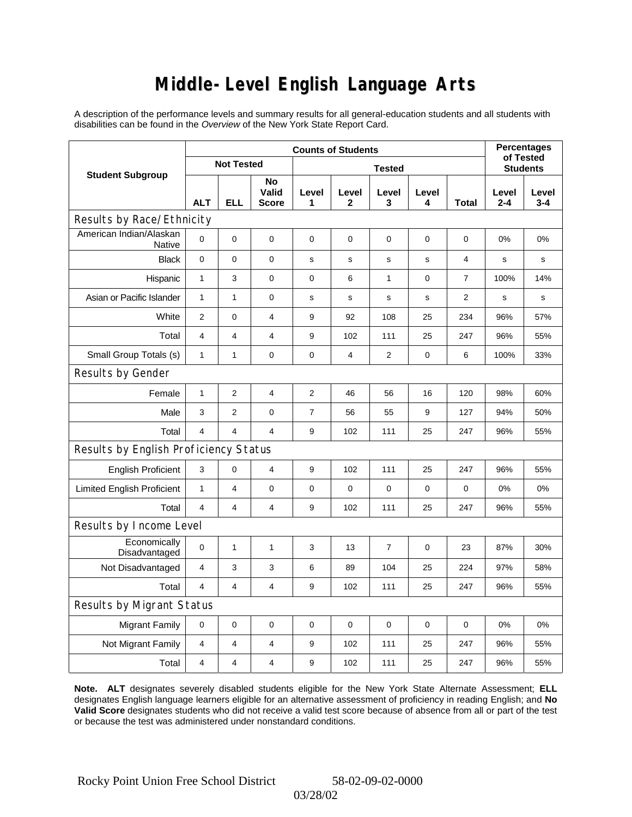### **Middle-Level English Language Arts**

A description of the performance levels and summary results for all general-education students and all students with disabilities can be found in the *Overview* of the New York State Report Card.

|                                       | <b>Counts of Students</b> |                |                             |                |                 |             |             |             | <b>Percentages</b><br>of Tested |                  |
|---------------------------------------|---------------------------|----------------|-----------------------------|----------------|-----------------|-------------|-------------|-------------|---------------------------------|------------------|
| <b>Student Subgroup</b>               | <b>Not Tested</b>         |                |                             |                | <b>Students</b> |             |             |             |                                 |                  |
|                                       | <b>ALT</b>                | <b>ELL</b>     | No<br>Valid<br><b>Score</b> | Level<br>1     | Level<br>2      | Level<br>3  | Level<br>4  | Total       | Level<br>2-4                    | Level<br>$3 - 4$ |
| Results by Race/Ethnicity             |                           |                |                             |                |                 |             |             |             |                                 |                  |
| American Indian/Alaskan<br>Native     | 0                         | $\mathbf 0$    | $\mathbf 0$                 | $\mathbf 0$    | $\mathbf 0$     | 0           | $\mathbf 0$ | $\mathbf 0$ | 0%                              | 0%               |
| <b>Black</b>                          | $\mathbf 0$               | 0              | $\mathbf 0$                 | s              | s               | s           | $\mathbf s$ | 4           | s                               | s                |
| Hispanic                              | 1                         | 3              | 0                           | 0              | 6               | 1           | 0           | 7           | 100%                            | 14%              |
| Asian or Pacific Islander             | $\mathbf{1}$              | $\mathbf{1}$   | 0                           | $\mathbf s$    | $\mathbf S$     | $\mathbf s$ | s           | 2           | $\mathbf s$                     | s                |
| White                                 | $\overline{2}$            | 0              | $\overline{4}$              | 9              | 92              | 108         | 25          | 234         | 96%                             | 57%              |
| Total                                 | 4                         | 4              | 4                           | 9              | 102             | 111         | 25          | 247         | 96%                             | 55%              |
| Small Group Totals (s)                | 1                         | 1              | 0                           | 0              | $\overline{4}$  | 2           | 0           | 6           | 100%                            | 33%              |
| Results by Gender                     |                           |                |                             |                |                 |             |             |             |                                 |                  |
| Female                                | $\mathbf{1}$              | $\overline{2}$ | 4                           | $\overline{2}$ | 46              | 56          | 16          | 120         | 98%                             | 60%              |
| Male                                  | 3                         | $\overline{2}$ | $\pmb{0}$                   | $\overline{7}$ | 56              | 55          | 9           | 127         | 94%                             | 50%              |
| Total                                 | 4                         | 4              | $\overline{4}$              | 9              | 102             | 111         | 25          | 247         | 96%                             | 55%              |
| Results by English Proficiency Status |                           |                |                             |                |                 |             |             |             |                                 |                  |
| <b>English Proficient</b>             | 3                         | 0              | $\overline{4}$              | 9              | 102             | 111         | 25          | 247         | 96%                             | 55%              |
| <b>Limited English Proficient</b>     | 1                         | 4              | 0                           | 0              | $\mathbf 0$     | 0           | 0           | 0           | 0%                              | 0%               |
| Total                                 | $\overline{4}$            | 4              | $\overline{4}$              | 9              | 102             | 111         | 25          | 247         | 96%                             | 55%              |
| Results by Income Level               |                           |                |                             |                |                 |             |             |             |                                 |                  |
| Economically<br>Disadvantaged         | 0                         | 1              | $\mathbf{1}$                | 3              | 13              | 7           | $\mathbf 0$ | 23          | 87%                             | 30%              |
| Not Disadvantaged                     | $\overline{4}$            | 3              | 3                           | 6              | 89              | 104         | 25          | 224         | 97%                             | 58%              |
| Total                                 | 4                         | 4              | 4                           | 9              | 102             | 111         | 25          | 247         | 96%                             | 55%              |
| Results by Migrant Status             |                           |                |                             |                |                 |             |             |             |                                 |                  |
| <b>Migrant Family</b>                 | 0                         | 0              | 0                           | 0              | $\mathbf 0$     | 0           | 0           | 0           | 0%                              | 0%               |
| Not Migrant Family                    | $\overline{4}$            | 4              | $\overline{4}$              | 9              | 102             | 111         | 25          | 247         | 96%                             | 55%              |
| Total                                 | 4                         | 4              | 4                           | 9              | 102             | 111         | 25          | 247         | 96%                             | 55%              |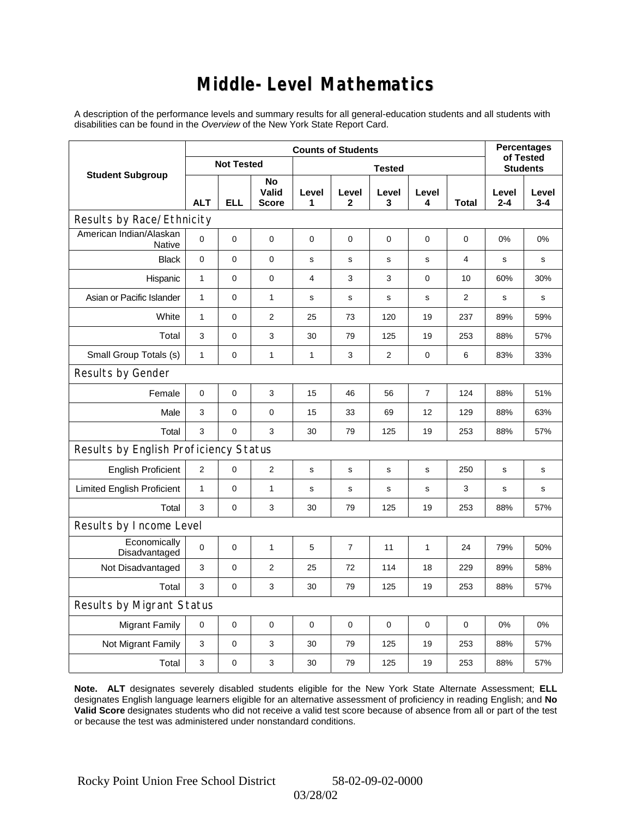### **Middle-Level Mathematics**

A description of the performance levels and summary results for all general-education students and all students with disabilities can be found in the *Overview* of the New York State Report Card.

|                                          | <b>Counts of Students</b> |                   |                             |               |                |            |                |              | <b>Percentages</b><br>of Tested |                  |
|------------------------------------------|---------------------------|-------------------|-----------------------------|---------------|----------------|------------|----------------|--------------|---------------------------------|------------------|
| <b>Student Subgroup</b>                  |                           | <b>Not Tested</b> |                             | <b>Tested</b> |                |            |                |              | <b>Students</b>                 |                  |
|                                          | <b>ALT</b>                | <b>ELL</b>        | No<br>Valid<br><b>Score</b> | Level<br>1    | Level<br>2     | Level<br>3 | Level<br>4     | <b>Total</b> | Level<br>$2 - 4$                | Level<br>$3 - 4$ |
| Results by Race/Ethnicity                |                           |                   |                             |               |                |            |                |              |                                 |                  |
| American Indian/Alaskan<br><b>Native</b> | 0                         | $\mathbf 0$       | $\mathbf 0$                 | 0             | 0              | 0          | 0              | 0            | 0%                              | 0%               |
| <b>Black</b>                             | 0                         | 0                 | $\pmb{0}$                   | $\mathbf s$   | $\mathbf s$    | s          | $\mathbf s$    | 4            | s                               | s                |
| Hispanic                                 | $\mathbf{1}$              | 0                 | $\mathbf 0$                 | 4             | 3              | 3          | 0              | 10           | 60%                             | 30%              |
| Asian or Pacific Islander                | $\mathbf{1}$              | 0                 | $\mathbf{1}$                | $\mathbf s$   | $\mathbf s$    | s          | $\mathbf s$    | 2            | s                               | s                |
| White                                    | $\mathbf{1}$              | 0                 | $\overline{2}$              | 25            | 73             | 120        | 19             | 237          | 89%                             | 59%              |
| Total                                    | 3                         | 0                 | 3                           | 30            | 79             | 125        | 19             | 253          | 88%                             | 57%              |
| Small Group Totals (s)                   | $\mathbf{1}$              | 0                 | $\mathbf{1}$                | 1             | 3              | 2          | 0              | 6            | 83%                             | 33%              |
| Results by Gender                        |                           |                   |                             |               |                |            |                |              |                                 |                  |
| Female                                   | 0                         | $\mathsf 0$       | 3                           | 15            | 46             | 56         | $\overline{7}$ | 124          | 88%                             | 51%              |
| Male                                     | 3                         | 0                 | $\mathbf 0$                 | 15            | 33             | 69         | 12             | 129          | 88%                             | 63%              |
| Total                                    | 3                         | 0                 | 3                           | 30            | 79             | 125        | 19             | 253          | 88%                             | 57%              |
| Results by English Proficiency Status    |                           |                   |                             |               |                |            |                |              |                                 |                  |
| <b>English Proficient</b>                | 2                         | 0                 | $\mathbf{2}$                | $\mathbf s$   | S              | s          | s              | 250          | s                               | $\mathbf s$      |
| <b>Limited English Proficient</b>        | 1                         | 0                 | $\mathbf{1}$                | $\mathbf s$   | s              | s          | s              | 3            | s                               | s                |
| Total                                    | 3                         | 0                 | 3                           | 30            | 79             | 125        | 19             | 253          | 88%                             | 57%              |
| Results by Income Level                  |                           |                   |                             |               |                |            |                |              |                                 |                  |
| Economically<br>Disadvantaged            | 0                         | $\mathsf 0$       | $\mathbf{1}$                | 5             | $\overline{7}$ | 11         | 1              | 24           | 79%                             | 50%              |
| Not Disadvantaged                        | 3                         | 0                 | 2                           | 25            | 72             | 114        | 18             | 229          | 89%                             | 58%              |
| Total                                    | 3                         | $\mathbf 0$       | 3                           | 30            | 79             | 125        | 19             | 253          | 88%                             | 57%              |
| Results by Migrant Status                |                           |                   |                             |               |                |            |                |              |                                 |                  |
| <b>Migrant Family</b>                    | $\mathbf 0$               | 0                 | $\pmb{0}$                   | 0             | $\mathbf 0$    | 0          | 0              | $\mathbf 0$  | 0%                              | 0%               |
| Not Migrant Family                       | 3                         | 0                 | 3                           | 30            | 79             | 125        | 19             | 253          | 88%                             | 57%              |
| Total                                    | 3                         | 0                 | 3                           | 30            | 79             | 125        | 19             | 253          | 88%                             | 57%              |